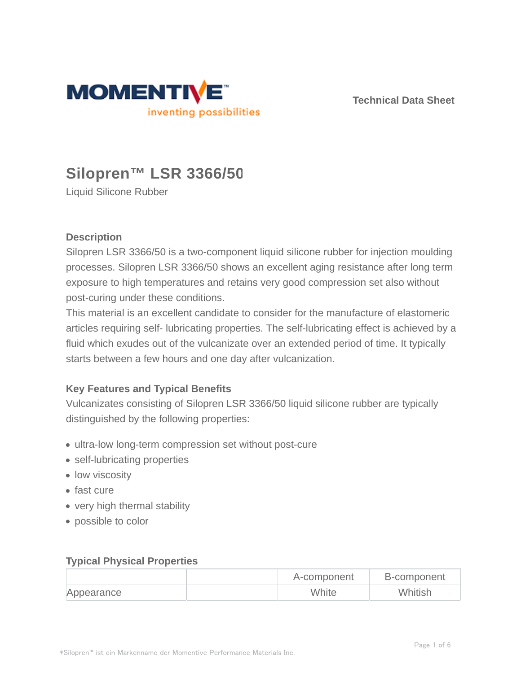

**Technical Data Sheet**

# **Silopren™ LSR 3366/50**

Liquid Silicone Rubber

## **Description**

Silopren LSR 3366/50 is a two-component liquid silicone rubber for injection moulding processes. Silopren LSR 3366/50 shows an excellent aging resistance after long term exposure to high temperatures and retains very good compression set also without post-curing under these conditions.

This material is an excellent candidate to consider for the manufacture of elastomeric articles requiring self- lubricating properties. The self-lubricating effect is achieved by a fluid which exudes out of the vulcanizate over an extended period of time. It typically starts between a few hours and one day after vulcanization.

## **Key Features and Typical Benefits**

Vulcanizates consisting of Silopren LSR 3366/50 liquid silicone rubber are typically distinguished by the following properties:

- ultra-low long-term compression set without post-cure
- self-lubricating properties
- low viscosity
- fast cure
- very high thermal stability
- possible to color

#### **Typical Physical Properties**

|            | A-component | B-component |
|------------|-------------|-------------|
| Appearance | White       | Whitish     |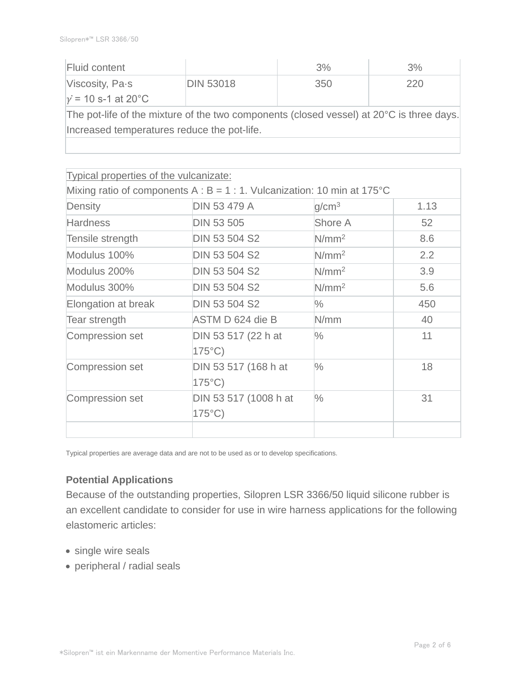| Fluid content                                                                                         |                  | 3%  | 3%  |  |  |
|-------------------------------------------------------------------------------------------------------|------------------|-----|-----|--|--|
| Viscosity, Pa-s                                                                                       | <b>DIN 53018</b> | 350 | 220 |  |  |
| $v = 10$ s-1 at 20°C                                                                                  |                  |     |     |  |  |
| The pot-life of the mixture of the two components (closed vessel) at 20 <sup>o</sup> C is three days. |                  |     |     |  |  |
| Increased temperatures reduce the pot-life.                                                           |                  |     |     |  |  |
|                                                                                                       |                  |     |     |  |  |

| <b>Typical properties of the vulcanizate:</b> |                                                                             |                   |      |
|-----------------------------------------------|-----------------------------------------------------------------------------|-------------------|------|
|                                               | Mixing ratio of components A : $B = 1$ : 1. Vulcanization: 10 min at 175 °C |                   |      |
| Density                                       | <b>DIN 53 479 A</b>                                                         | q/cm <sup>3</sup> | 1.13 |
| <b>Hardness</b>                               | <b>DIN 53 505</b>                                                           | Shore A           | 52   |
| Tensile strength                              | <b>DIN 53 504 S2</b>                                                        | N/mm <sup>2</sup> | 8.6  |
| Modulus 100%                                  | <b>DIN 53 504 S2</b>                                                        | N/mm <sup>2</sup> | 2.2  |
| Modulus 200%                                  | <b>DIN 53 504 S2</b>                                                        | N/mm <sup>2</sup> | 3.9  |
| Modulus 300%                                  | <b>DIN 53 504 S2</b>                                                        | N/mm <sup>2</sup> | 5.6  |
| Elongation at break                           | <b>DIN 53 504 S2</b>                                                        | $\%$              | 450  |
| Tear strength                                 | ASTM D 624 die B                                                            | N/mm              | 40   |
| Compression set                               | DIN 53 517 (22 h at<br>$175^{\circ}$ C)                                     | $\frac{0}{0}$     | 11   |
| Compression set                               | DIN 53 517 (168 h at<br>$175^{\circ}$ C)                                    | $\frac{0}{0}$     | 18   |
| <b>Compression set</b>                        | DIN 53 517 (1008 h at<br>$175^{\circ}$ C)                                   | $\frac{0}{0}$     | 31   |
|                                               |                                                                             |                   |      |

Typical properties are average data and are not to be used as or to develop specifications.

## **Potential Applications**

Because of the outstanding properties, Silopren LSR 3366/50 liquid silicone rubber is an excellent candidate to consider for use in wire harness applications for the following elastomeric articles:

- single wire seals
- peripheral / radial seals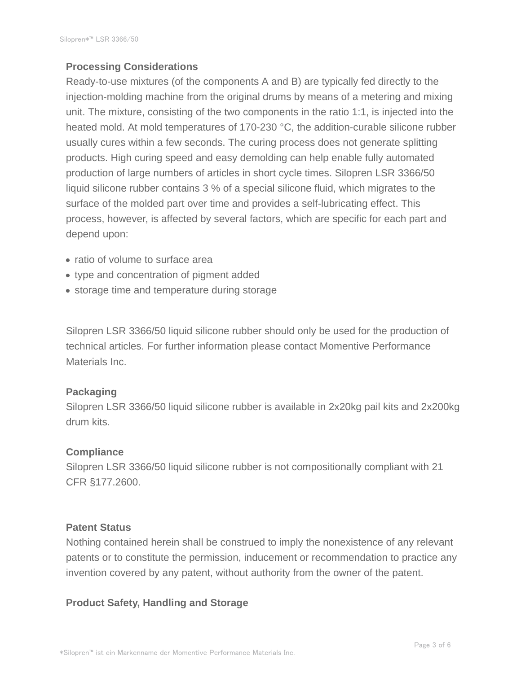## **Processing Considerations**

Ready-to-use mixtures (of the components A and B) are typically fed directly to the injection-molding machine from the original drums by means of a metering and mixing unit. The mixture, consisting of the two components in the ratio 1:1, is injected into the heated mold. At mold temperatures of 170-230 °C, the addition-curable silicone rubber usually cures within a few seconds. The curing process does not generate splitting products. High curing speed and easy demolding can help enable fully automated production of large numbers of articles in short cycle times. Silopren LSR 3366/50 liquid silicone rubber contains 3 % of a special silicone fluid, which migrates to the surface of the molded part over time and provides a self-lubricating effect. This process, however, is affected by several factors, which are specific for each part and depend upon:

- ratio of volume to surface area
- type and concentration of pigment added
- storage time and temperature during storage

Silopren LSR 3366/50 liquid silicone rubber should only be used for the production of technical articles. For further information please contact Momentive Performance Materials Inc.

#### **Packaging**

Silopren LSR 3366/50 liquid silicone rubber is available in 2x20kg pail kits and 2x200kg drum kits.

#### **Compliance**

Silopren LSR 3366/50 liquid silicone rubber is not compositionally compliant with 21 CFR §177.2600.

#### **Patent Status**

Nothing contained herein shall be construed to imply the nonexistence of any relevant patents or to constitute the permission, inducement or recommendation to practice any invention covered by any patent, without authority from the owner of the patent.

## **Product Safety, Handling and Storage**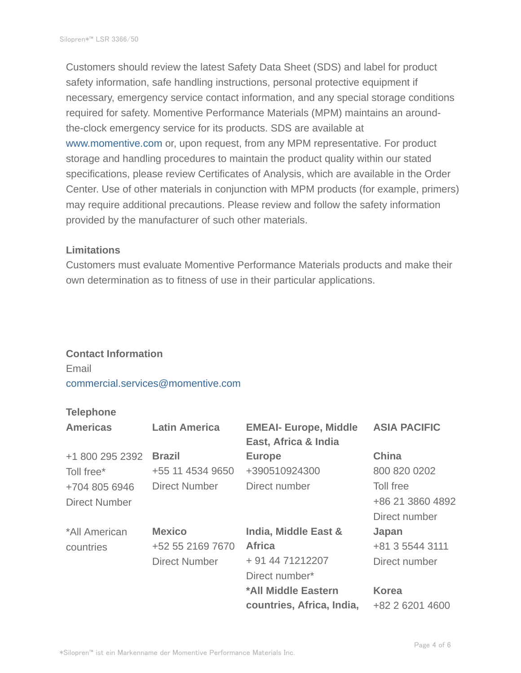Customers should review the latest Safety Data Sheet (SDS) and label for product safety information, safe handling instructions, personal protective equipment if necessary, emergency service contact information, and any special storage conditions required for safety. Momentive Performance Materials (MPM) maintains an aroundthe-clock emergency service for its products. SDS are available at www.momentive.com or, upon request, from any MPM representative. For product storage and handling procedures to maintain the product quality within our stated specifications, please review Certificates of Analysis, which are available in the Order Center. Use of other materials in conjunction with MPM products (for example, primers) may require additional precautions. Please review and follow the safety information provided by the manufacturer of such other materials.

#### **Limitations**

Customers must evaluate Momentive Performance Materials products and make their own determination as to fitness of use in their particular applications.

#### **Contact Information**

Email commercial.services@momentive.com

### **Telephone**

| <b>Americas</b>      | <b>Latin America</b> | <b>EMEAI- Europe, Middle</b><br>East, Africa & India | <b>ASIA PACIFIC</b> |
|----------------------|----------------------|------------------------------------------------------|---------------------|
| +1 800 295 2392      | <b>Brazil</b>        | <b>Europe</b>                                        | <b>China</b>        |
| Toll free*           | +55 11 4534 9650     | +390510924300                                        | 800 820 0202        |
| +704 805 6946        | <b>Direct Number</b> | Direct number                                        | Toll free           |
| <b>Direct Number</b> |                      |                                                      | +86 21 3860 4892    |
|                      |                      |                                                      | Direct number       |
| *All American        | <b>Mexico</b>        | India, Middle East &                                 | Japan               |
| countries            | +52 55 2169 7670     | <b>Africa</b>                                        | +81 3 5544 3111     |
|                      | <b>Direct Number</b> | + 91 44 71212207                                     | Direct number       |
|                      |                      | Direct number*                                       |                     |
|                      |                      | *All Middle Eastern                                  | <b>Korea</b>        |
|                      |                      | countries, Africa, India,                            | +82 2 6201 4600     |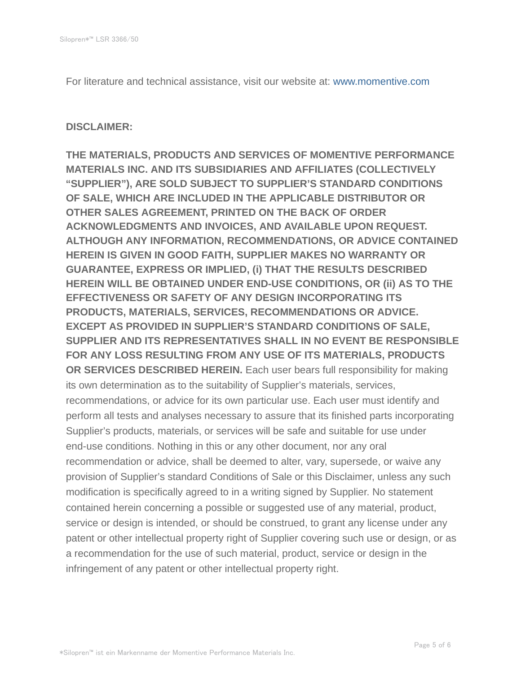For literature and technical assistance, visit our website at: www.momentive.com

#### **DISCLAIMER:**

**THE MATERIALS, PRODUCTS AND SERVICES OF MOMENTIVE PERFORMANCE MATERIALS INC. AND ITS SUBSIDIARIES AND AFFILIATES (COLLECTIVELY "SUPPLIER"), ARE SOLD SUBJECT TO SUPPLIER'S STANDARD CONDITIONS OF SALE, WHICH ARE INCLUDED IN THE APPLICABLE DISTRIBUTOR OR OTHER SALES AGREEMENT, PRINTED ON THE BACK OF ORDER ACKNOWLEDGMENTS AND INVOICES, AND AVAILABLE UPON REQUEST. ALTHOUGH ANY INFORMATION, RECOMMENDATIONS, OR ADVICE CONTAINED HEREIN IS GIVEN IN GOOD FAITH, SUPPLIER MAKES NO WARRANTY OR GUARANTEE, EXPRESS OR IMPLIED, (i) THAT THE RESULTS DESCRIBED HEREIN WILL BE OBTAINED UNDER END-USE CONDITIONS, OR (ii) AS TO THE EFFECTIVENESS OR SAFETY OF ANY DESIGN INCORPORATING ITS PRODUCTS, MATERIALS, SERVICES, RECOMMENDATIONS OR ADVICE. EXCEPT AS PROVIDED IN SUPPLIER'S STANDARD CONDITIONS OF SALE, SUPPLIER AND ITS REPRESENTATIVES SHALL IN NO EVENT BE RESPONSIBLE FOR ANY LOSS RESULTING FROM ANY USE OF ITS MATERIALS, PRODUCTS OR SERVICES DESCRIBED HEREIN.** Each user bears full responsibility for making its own determination as to the suitability of Supplier's materials, services, recommendations, or advice for its own particular use. Each user must identify and perform all tests and analyses necessary to assure that its finished parts incorporating Supplier's products, materials, or services will be safe and suitable for use under end-use conditions. Nothing in this or any other document, nor any oral recommendation or advice, shall be deemed to alter, vary, supersede, or waive any provision of Supplier's standard Conditions of Sale or this Disclaimer, unless any such modification is specifically agreed to in a writing signed by Supplier. No statement contained herein concerning a possible or suggested use of any material, product, service or design is intended, or should be construed, to grant any license under any patent or other intellectual property right of Supplier covering such use or design, or as a recommendation for the use of such material, product, service or design in the infringement of any patent or other intellectual property right.